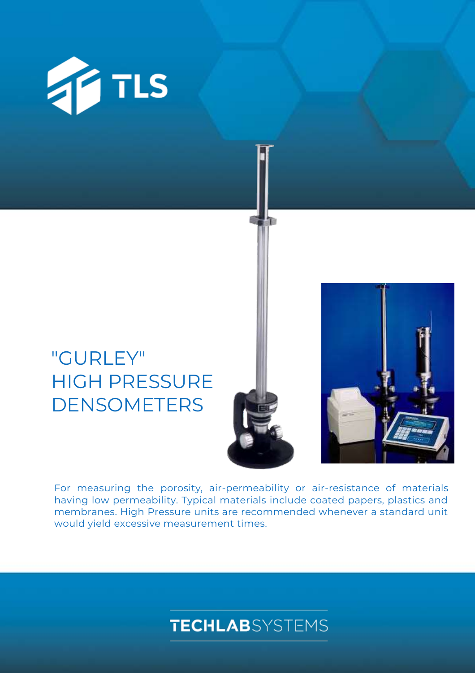

# "GURLEY" HIGH PRESSURE DENSOMETERS



For measuring the porosity, air-permeability or air-resistance of materials having low permeability. Typical materials include coated papers, plastics and membranes. High Pressure units are recommended whenever a standard unit would yield excessive measurement times.

## **TECHLAB**SYSTEMS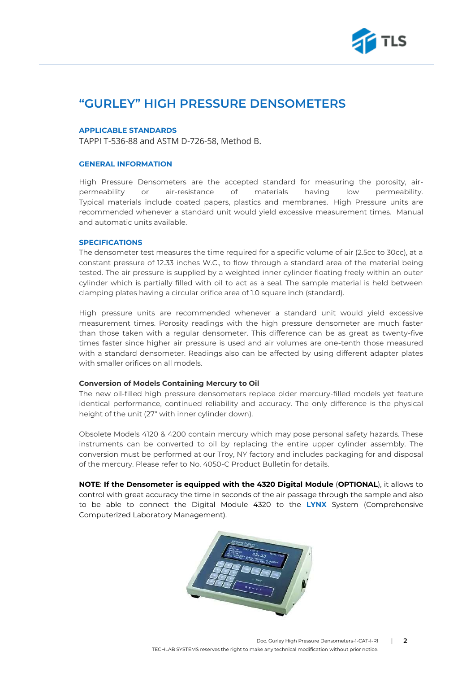

### **"GURLEY" HIGH PRESSURE DENSOMETERS**

#### **APPLICABLE STANDARDS**

TAPPI T-536-88 and ASTM D-726-58, Method B.

### **GENERAL INFORMATION**

High Pressure Densometers are the accepted standard for measuring the porosity, airpermeability or air-resistance of materials having low permeability. Typical materials include coated papers, plastics and membranes. High Pressure units are recommended whenever a standard unit would yield excessive measurement times. Manual and automatic units available.

### **SPECIFICATIONS**

The densometer test measures the time required for a specific volume of air (2.5cc to 30cc), at a constant pressure of 12.33 inches W.C., to flow through a standard area of the material being tested. The air pressure is supplied by a weighted inner cylinder floating freely within an outer cylinder which is partially filled with oil to act as a seal. The sample material is held between clamping plates having a circular orifice area of 1.0 square inch (standard).

High pressure units are recommended whenever a standard unit would yield excessive measurement times. Porosity readings with the high pressure densometer are much faster than those taken with a regular densometer. This difference can be as great as twenty-five times faster since higher air pressure is used and air volumes are one-tenth those measured with a standard densometer. Readings also can be affected by using different adapter plates with smaller orifices on all models.

### **Conversion of Models Containing Mercury to Oil**

The new oil-filled high pressure densometers replace older mercury-filled models yet feature identical performance, continued reliability and accuracy. The only difference is the physical height of the unit (27" with inner cylinder down).

Obsolete Models 4120 & 4200 contain mercury which may pose personal safety hazards. These instruments can be converted to oil by replacing the entire upper cylinder assembly. The conversion must be performed at our Troy, NY factory and includes packaging for and disposal of the mercury. Please refer to No. 4050-C Product Bulletin for details.

**NOTE**: **If the Densometer is equipped with the 4320 Digital Module** (**OPTIONAL**), it allows to control with great accuracy the time in seconds of the air passage through the sample and also to be able to connect the Digital Module 4320 to the **LYNX** System (Comprehensive Computerized Laboratory Management).